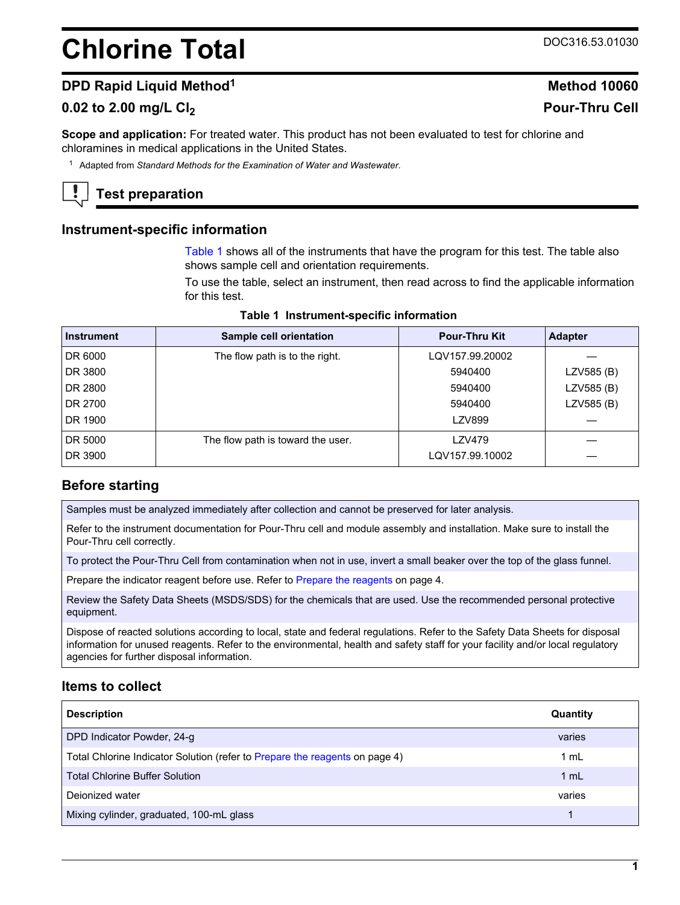# **Chlorine Total** DOC316.53.01030

## **DPD Rapid Liquid Method<sup>1</sup> <b>Method** 10060

## **0.02 to 2.00 mg/L Cl<sup>2</sup> Pour-Thru Cell**

**Scope and application:** For treated water. This product has not been evaluated to test for chlorine and chloramines in medical applications in the United States.

<sup>1</sup> Adapted from *Standard Methods for the Examination of Water and Wastewater*.

## **Test preparation**

#### **Instrument-specific information**

[Table 1](#page-0-0) shows all of the instruments that have the program for this test. The table also shows sample cell and orientation requirements.

To use the table, select an instrument, then read across to find the applicable information for this test.

<span id="page-0-1"></span><span id="page-0-0"></span>

| <b>Instrument</b> | Sample cell orientation           | <b>Pour-Thru Kit</b> | <b>Adapter</b> |
|-------------------|-----------------------------------|----------------------|----------------|
| DR 6000           | The flow path is to the right.    | LQV157.99.20002      |                |
| DR 3800           |                                   | 5940400              | LZV585 (B)     |
| DR 2800           |                                   | 5940400              | LZV585 (B)     |
| DR 2700           |                                   | 5940400              | LZV585 (B)     |
| DR 1900           |                                   | <b>LZV899</b>        |                |
| DR 5000           | The flow path is toward the user. | LZV479               |                |
| DR 3900           |                                   | LQV157.99.10002      |                |

#### **Table 1 Instrument-specific information**

## **Before starting**

Samples must be analyzed immediately after collection and cannot be preserved for later analysis.

Refer to the instrument documentation for Pour-Thru cell and module assembly and installation. Make sure to install the Pour-Thru cell correctly.

To protect the Pour-Thru Cell from contamination when not in use, invert a small beaker over the top of the glass funnel.

Prepare the indicator reagent before use. Refer to [Prepare the reagents](#page-3-0) on page 4.

Review the Safety Data Sheets (MSDS/SDS) for the chemicals that are used. Use the recommended personal protective equipment.

Dispose of reacted solutions according to local, state and federal regulations. Refer to the Safety Data Sheets for disposal information for unused reagents. Refer to the environmental, health and safety staff for your facility and/or local regulatory agencies for further disposal information.

## **Items to collect**

| <b>Description</b>                                                          | Quantity |
|-----------------------------------------------------------------------------|----------|
| DPD Indicator Powder, 24-g                                                  | varies   |
| Total Chlorine Indicator Solution (refer to Prepare the reagents on page 4) | 1 mL     |
| <b>Total Chlorine Buffer Solution</b>                                       | 1 mL     |
| Dejonized water                                                             | varies   |
| Mixing cylinder, graduated, 100-mL glass                                    |          |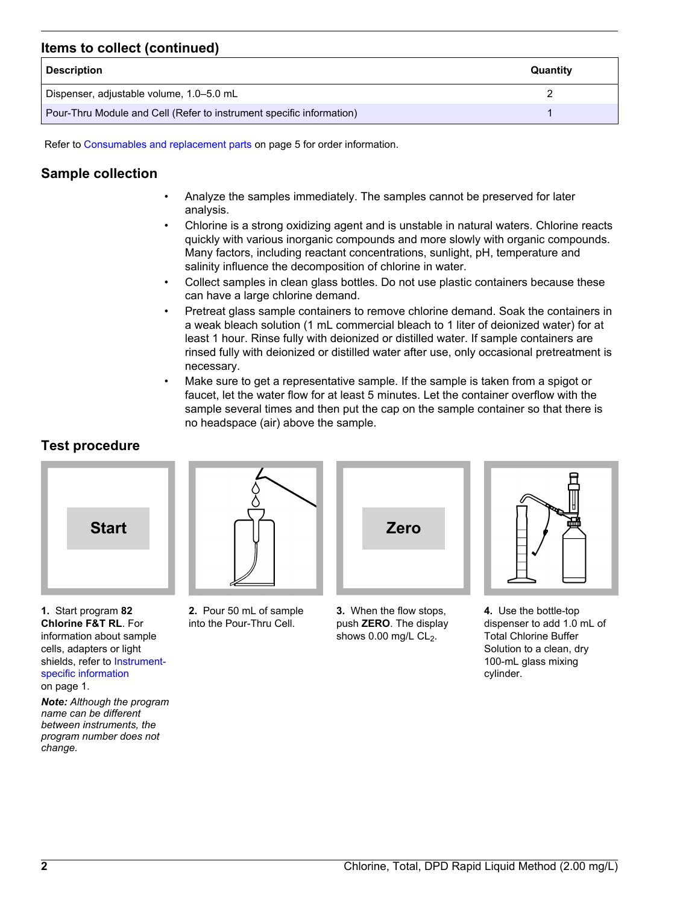## **Items to collect (continued)**

| <b>Description</b>                                                   | Quantity |
|----------------------------------------------------------------------|----------|
| Dispenser, adjustable volume, 1.0–5.0 mL                             |          |
| Pour-Thru Module and Cell (Refer to instrument specific information) |          |

Refer to [Consumables and replacement parts](#page-4-0) on page 5 for order information.

## **Sample collection**

- Analyze the samples immediately. The samples cannot be preserved for later analysis.
- Chlorine is a strong oxidizing agent and is unstable in natural waters. Chlorine reacts quickly with various inorganic compounds and more slowly with organic compounds. Many factors, including reactant concentrations, sunlight, pH, temperature and salinity influence the decomposition of chlorine in water.
- Collect samples in clean glass bottles. Do not use plastic containers because these can have a large chlorine demand.
- Pretreat glass sample containers to remove chlorine demand. Soak the containers in a weak bleach solution (1 mL commercial bleach to 1 liter of deionized water) for at least 1 hour. Rinse fully with deionized or distilled water. If sample containers are rinsed fully with deionized or distilled water after use, only occasional pretreatment is necessary.
- Make sure to get a representative sample. If the sample is taken from a spigot or faucet, let the water flow for at least 5 minutes. Let the container overflow with the sample several times and then put the cap on the sample container so that there is no headspace (air) above the sample.

## **Test procedure**



**1.** Start program **82 Chlorine F&T RL**. For information about sample cells, adapters or light shields, refer to [Instrument](#page-0-1)[specific information](#page-0-1) on page 1.

*Note: Although the program name can be different between instruments, the program number does not change.*



**2.** Pour 50 mL of sample into the Pour-Thru Cell.



**3.** When the flow stops, push **ZERO**. The display shows  $0.00$  mg/L CL<sub>2</sub>.



**4.** Use the bottle-top dispenser to add 1.0 mL of Total Chlorine Buffer Solution to a clean, dry 100-mL glass mixing cylinder.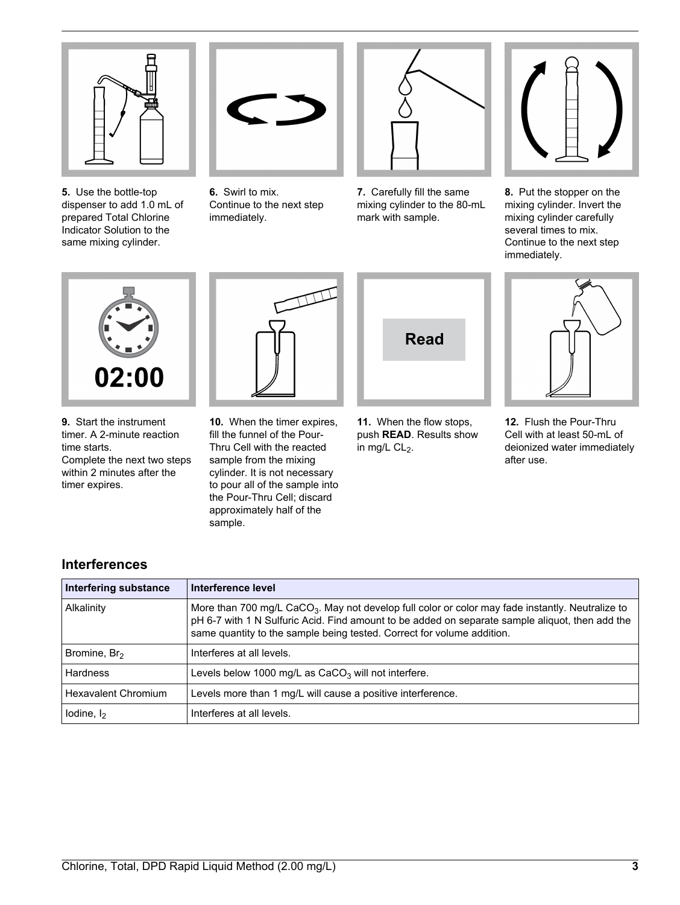

**5.** Use the bottle-top dispenser to add 1.0 mL of prepared Total Chlorine Indicator Solution to the same mixing cylinder.



**6.** Swirl to mix. Continue to the next step immediately.



**7.** Carefully fill the same mixing cylinder to the 80-mL mark with sample.



**8.** Put the stopper on the mixing cylinder. Invert the mixing cylinder carefully several times to mix. Continue to the next step immediately.



**9.** Start the instrument timer. A 2-minute reaction time starts. Complete the next two steps within 2 minutes after the timer expires.

**10.** When the timer expires, fill the funnel of the Pour-Thru Cell with the reacted sample from the mixing cylinder. It is not necessary to pour all of the sample into the Pour-Thru Cell; discard approximately half of the sample.



**11.** When the flow stops, push **READ**. Results show in mg/L  $CL<sub>2</sub>$ .



**12.** Flush the Pour-Thru Cell with at least 50-mL of deionized water immediately after use.

| Interfering substance      | Interference level                                                                                                                                                                                                                                                                        |
|----------------------------|-------------------------------------------------------------------------------------------------------------------------------------------------------------------------------------------------------------------------------------------------------------------------------------------|
| Alkalinity                 | More than 700 mg/L CaCO <sub>3</sub> . May not develop full color or color may fade instantly. Neutralize to<br>pH 6-7 with 1 N Sulfuric Acid. Find amount to be added on separate sample aliquot, then add the<br>same quantity to the sample being tested. Correct for volume addition. |
| Bromine, Br <sub>2</sub>   | Interferes at all levels.                                                                                                                                                                                                                                                                 |
| Hardness                   | Levels below 1000 mg/L as $CaCO3$ will not interfere.                                                                                                                                                                                                                                     |
| <b>Hexavalent Chromium</b> | Levels more than 1 mg/L will cause a positive interference.                                                                                                                                                                                                                               |
| lodine, $I_2$              | Interferes at all levels.                                                                                                                                                                                                                                                                 |

## **Interferences**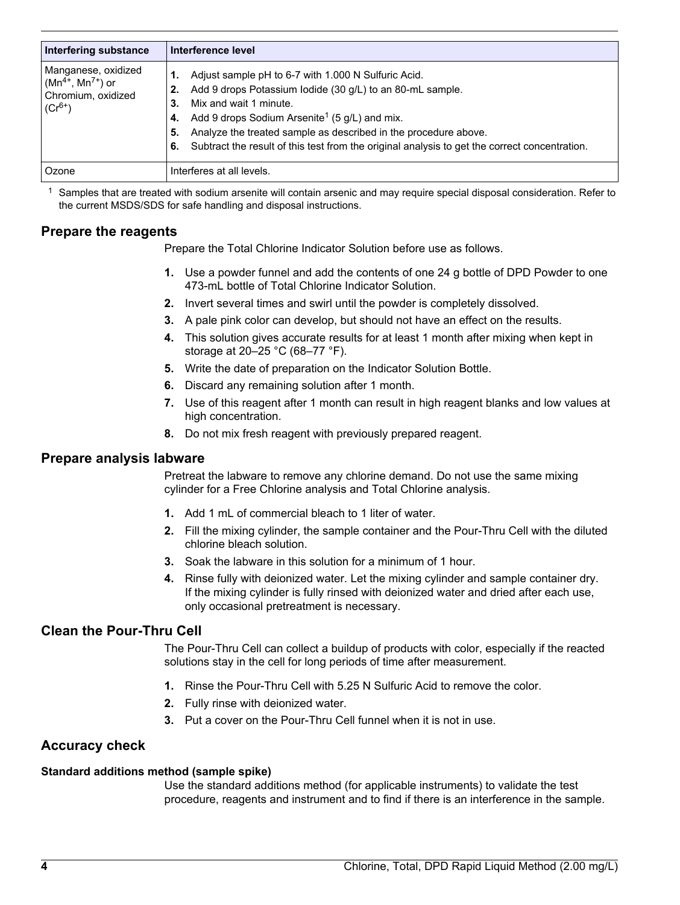<span id="page-3-0"></span>

| <b>Interfering substance</b>                                                        | Interference level                                                                                                                                                                                                                                                                                                                                                                                        |
|-------------------------------------------------------------------------------------|-----------------------------------------------------------------------------------------------------------------------------------------------------------------------------------------------------------------------------------------------------------------------------------------------------------------------------------------------------------------------------------------------------------|
| Manganese, oxidized<br>$(Mn^{4+}, Mn^{7+})$ or<br>Chromium, oxidized<br>$(Cr^{6+})$ | Adjust sample pH to 6-7 with 1.000 N Sulfuric Acid.<br>Add 9 drops Potassium lodide (30 g/L) to an 80-mL sample.<br>2.<br>Mix and wait 1 minute.<br>3.<br>Add 9 drops Sodium Arsenite <sup>1</sup> (5 g/L) and mix.<br>4.<br>Analyze the treated sample as described in the procedure above.<br>5.<br>Subtract the result of this test from the original analysis to get the correct concentration.<br>6. |
| Ozone                                                                               | Interferes at all levels.                                                                                                                                                                                                                                                                                                                                                                                 |

 $<sup>1</sup>$  Samples that are treated with sodium arsenite will contain arsenic and may require special disposal consideration. Refer to</sup> the current MSDS/SDS for safe handling and disposal instructions.

## **Prepare the reagents**

Prepare the Total Chlorine Indicator Solution before use as follows.

- **1.** Use a powder funnel and add the contents of one 24 g bottle of DPD Powder to one 473-mL bottle of Total Chlorine Indicator Solution.
- **2.** Invert several times and swirl until the powder is completely dissolved.
- **3.** A pale pink color can develop, but should not have an effect on the results.
- **4.** This solution gives accurate results for at least 1 month after mixing when kept in storage at 20–25 °C (68–77 °F).
- **5.** Write the date of preparation on the Indicator Solution Bottle.
- **6.** Discard any remaining solution after 1 month.
- **7.** Use of this reagent after 1 month can result in high reagent blanks and low values at high concentration.
- **8.** Do not mix fresh reagent with previously prepared reagent.

#### **Prepare analysis labware**

Pretreat the labware to remove any chlorine demand. Do not use the same mixing cylinder for a Free Chlorine analysis and Total Chlorine analysis.

- **1.** Add 1 mL of commercial bleach to 1 liter of water.
- **2.** Fill the mixing cylinder, the sample container and the Pour-Thru Cell with the diluted chlorine bleach solution.
- **3.** Soak the labware in this solution for a minimum of 1 hour.
- **4.** Rinse fully with deionized water. Let the mixing cylinder and sample container dry. If the mixing cylinder is fully rinsed with deionized water and dried after each use, only occasional pretreatment is necessary.

## **Clean the Pour-Thru Cell**

The Pour-Thru Cell can collect a buildup of products with color, especially if the reacted solutions stay in the cell for long periods of time after measurement.

- **1.** Rinse the Pour-Thru Cell with 5.25 N Sulfuric Acid to remove the color.
- **2.** Fully rinse with deionized water.
- **3.** Put a cover on the Pour-Thru Cell funnel when it is not in use.

## **Accuracy check**

#### **Standard additions method (sample spike)**

Use the standard additions method (for applicable instruments) to validate the test procedure, reagents and instrument and to find if there is an interference in the sample.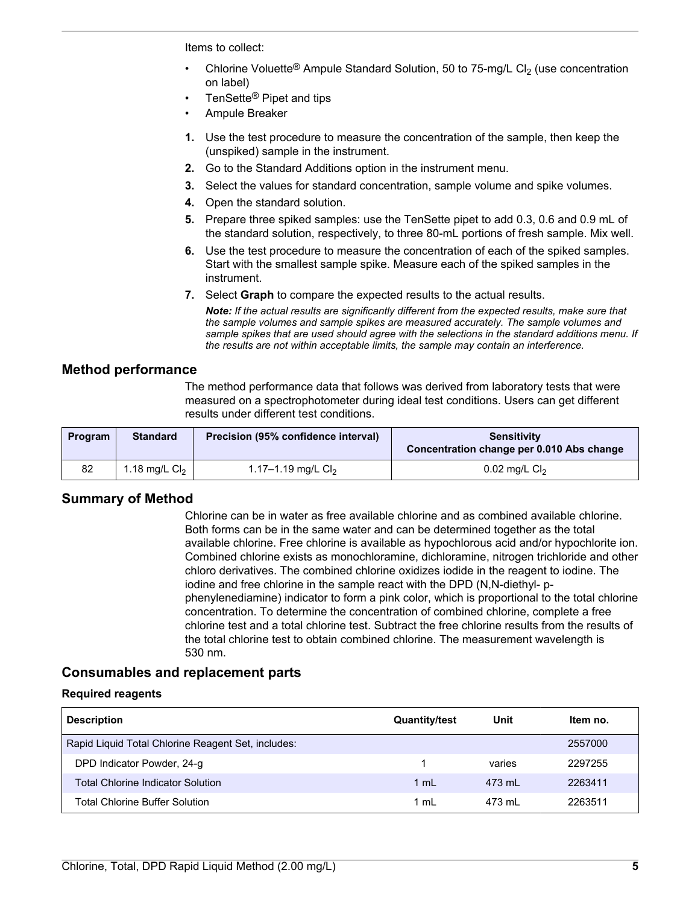Items to collect:

- Chlorine Voluette<sup>®</sup> Ampule Standard Solution, 50 to 75-mg/L Cl<sub>2</sub> (use concentration on label)
- TenSette<sup>®</sup> Pipet and tips
- Ampule Breaker
- **1.** Use the test procedure to measure the concentration of the sample, then keep the (unspiked) sample in the instrument.
- **2.** Go to the Standard Additions option in the instrument menu.
- **3.** Select the values for standard concentration, sample volume and spike volumes.
- **4.** Open the standard solution.
- **5.** Prepare three spiked samples: use the TenSette pipet to add 0.3, 0.6 and 0.9 mL of the standard solution, respectively, to three 80-mL portions of fresh sample. Mix well.
- **6.** Use the test procedure to measure the concentration of each of the spiked samples. Start with the smallest sample spike. Measure each of the spiked samples in the instrument.
- **7.** Select **Graph** to compare the expected results to the actual results.

*Note: If the actual results are significantly different from the expected results, make sure that the sample volumes and sample spikes are measured accurately. The sample volumes and sample spikes that are used should agree with the selections in the standard additions menu. If the results are not within acceptable limits, the sample may contain an interference.*

## **Method performance**

The method performance data that follows was derived from laboratory tests that were measured on a spectrophotometer during ideal test conditions. Users can get different results under different test conditions.

| <b>Program</b> | <b>Standard</b> | Precision (95% confidence interval) | <b>Sensitivity</b><br>Concentration change per 0.010 Abs change |
|----------------|-----------------|-------------------------------------|-----------------------------------------------------------------|
| 82             | 1.18 mg/L $Cl2$ | 1.17-1.19 mg/L $Cl2$                | $0.02$ mg/L Cl <sub>2</sub>                                     |

## **Summary of Method**

Chlorine can be in water as free available chlorine and as combined available chlorine. Both forms can be in the same water and can be determined together as the total available chlorine. Free chlorine is available as hypochlorous acid and/or hypochlorite ion. Combined chlorine exists as monochloramine, dichloramine, nitrogen trichloride and other chloro derivatives. The combined chlorine oxidizes iodide in the reagent to iodine. The iodine and free chlorine in the sample react with the DPD (N,N-diethyl- pphenylenediamine) indicator to form a pink color, which is proportional to the total chlorine concentration. To determine the concentration of combined chlorine, complete a free chlorine test and a total chlorine test. Subtract the free chlorine results from the results of the total chlorine test to obtain combined chlorine. The measurement wavelength is 530 nm.

## <span id="page-4-0"></span>**Consumables and replacement parts**

#### **Required reagents**

| <b>Description</b>                                 | <b>Quantity/test</b> | Unit   | Item no. |
|----------------------------------------------------|----------------------|--------|----------|
| Rapid Liquid Total Chlorine Reagent Set, includes: |                      |        | 2557000  |
| DPD Indicator Powder, 24-g                         |                      | varies | 2297255  |
| <b>Total Chlorine Indicator Solution</b>           | $1 \text{ ml}$       | 473 ml | 2263411  |
| Total Chlorine Buffer Solution                     | 1 mL                 | 473 ml | 2263511  |